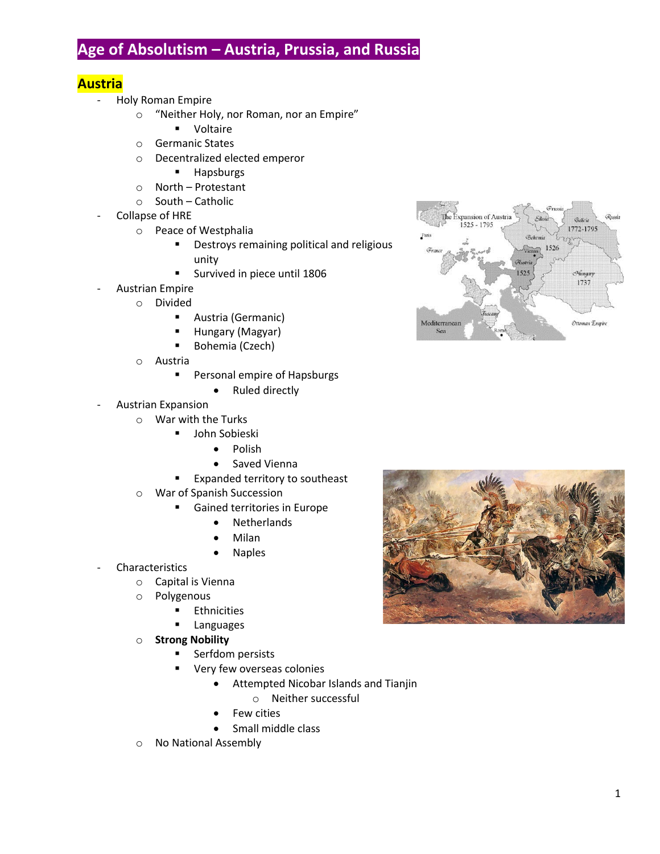# **Age of Absolutism – Austria, Prussia, and Russia**

# **Austria**

- Holy Roman Empire
	- o "Neither Holy, nor Roman, nor an Empire"
		- **•** Voltaire
	- o Germanic States
	- o Decentralized elected emperor
		- **-** Hapsburgs
	- o North Protestant
	- o South Catholic
- Collapse of HRE
	- o Peace of Westphalia
		- **•** Destroys remaining political and religious unity
		- **Survived in piece until 1806**
- Austrian Empire
- o Divided
	- Austria (Germanic)
	- Hungary (Magyar)
	- Bohemia (Czech)
	- o Austria
		- **Personal empire of Hapsburgs** 
			- Ruled directly
- Austrian Expansion
	- o War with the Turks
		- **John Sobieski** 
			- Polish
			- Saved Vienna
		- Expanded territory to southeast
	- o War of Spanish Succession
		- **Gained territories in Europe** 
			- Netherlands
			- Milan
			- Naples
- **Characteristics** 
	- o Capital is Vienna
	- o Polygenous
		- **Ethnicities**
		- **Languages**
	- o **Strong Nobility**
		- Serfdom persists
		- Very few overseas colonies
			- Attempted Nicobar Islands and Tianjin
				- o Neither successful
			- Few cities
			- Small middle class
	- o No National Assembly



The Expansion of Austria

1525 - 1795

Mediterranear

Sea

Galicia

1772-1795 530 1526

> Hungary 1737

Ottoman Empire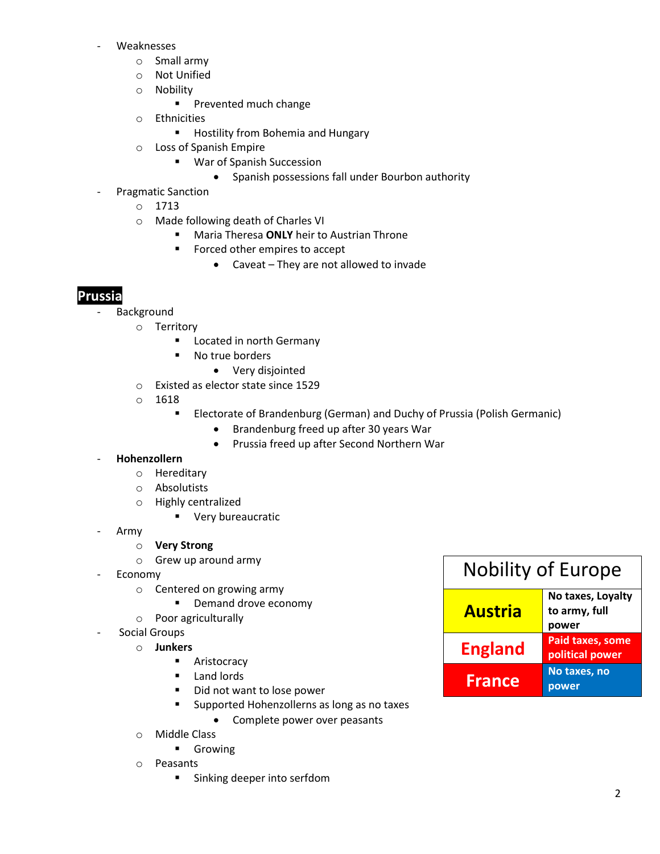- **Weaknesses** 
	- o Small army
	- o Not Unified
	- o Nobility
		- **Prevented much change**
	- o Ethnicities
		- **Hostility from Bohemia and Hungary**
	- o Loss of Spanish Empire
		- War of Spanish Succession
			- Spanish possessions fall under Bourbon authority
- Pragmatic Sanction
	- o 1713
	- o Made following death of Charles VI
		- Maria Theresa **ONLY** heir to Austrian Throne
		- **Forced other empires to accept** 
			- Caveat They are not allowed to invade

# **Prussia**

- **Background** 
	- o Territory
		- **Located in north Germany**
		- No true borders
			- Very disjointed
	- o Existed as elector state since 1529
	- o 1618
		- **ELECTARE 6. 2018 FRANDER ENGINEES FIGHTER IS ADDET** Electorate of Brandenburg (Germanic)
			- Brandenburg freed up after 30 years War
			- Prussia freed up after Second Northern War

#### - **Hohenzollern**

- o Hereditary
- o Absolutists
- o Highly centralized
	- **very bureaucratic**
- Army
	- o **Very Strong**
	- o Grew up around army
- **Economy** 
	- o Centered on growing army
		- **Demand drove economy**
	- o Poor agriculturally
- Social Groups
	- o **Junkers**
		- **Aristocracy**
		- **Land lords**
		- Did not want to lose power
		- **Supported Hohenzollerns as long as no taxes** 
			- Complete power over peasants
	- o Middle Class
		- **Growing**
	- o Peasants
		- **Sinking deeper into serfdom**

| <b>Nobility of Europe</b> |                                             |
|---------------------------|---------------------------------------------|
| <b>Austria</b>            | No taxes, Loyalty<br>to army, full<br>power |
| <b>England</b>            | <b>Paid taxes, some</b><br>political power  |
| <b>France</b>             | No taxes, no<br>power                       |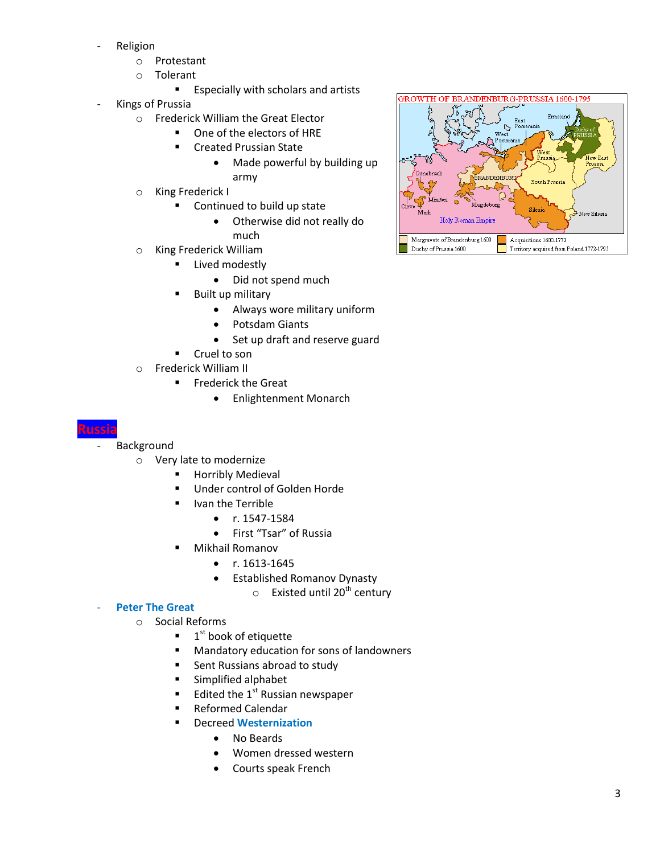- **Religion** 
	- o Protestant
	- o Tolerant
		- **Especially with scholars and artists**
- Kings of Prussia
	- o Frederick William the Great Elector
		- One of the electors of HRE
		- Created Prussian State
			- Made powerful by building up army
	- o King Frederick I
		- Continued to build up state
			- Otherwise did not really do much
	- o King Frederick William
		- **E** Lived modestly
			- Did not spend much
		- Built up military
			- Always wore military uniform
			- Potsdam Giants
			- Set up draft and reserve guard
		- Cruel to son
	- o Frederick William II
		- **Filter Frederick the Great** 
			- Enlightenment Monarch

- **Background** 
	- o Very late to modernize
		- Horribly Medieval
		- **Under control of Golden Horde**
		- **I** Ivan the Terrible
			- $\bullet$  r. 1547-1584
			- First "Tsar" of Russia
		- Mikhail Romanov
			- $\bullet$  r. 1613-1645
			- Established Romanov Dynasty
				- $\circ$  Existed until 20<sup>th</sup> century

### **Peter The Great**

- o Social Reforms
	- $\blacksquare$  $1<sup>st</sup>$  book of etiquette
	- **Mandatory education for sons of landowners**
	- Sent Russians abroad to study
	- **Simplified alphabet**
	- Edited the  $1<sup>st</sup>$  Russian newspaper
	- Reformed Calendar
	- Decreed **Westernization**
		- No Beards
		- Women dressed western
		- Courts speak French